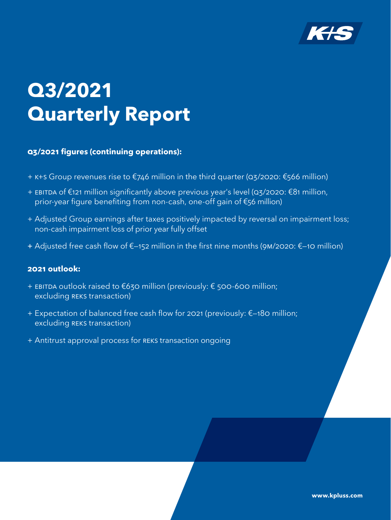

# **Q3/2021 Quarterly Report**

## **Q3/2021 figures (continuing operations):**

- + K+S Group revenues rise to €746 million in the third quarter (Q3/2020: €566 million)
- + EBITDA of €121 million significantly above previous year's level (Q3/2020: €81 million, prior-year figure benefiting from non-cash, one-off gain of €56 million)
- + Adjusted Group earnings after taxes positively impacted by reversal on impairment loss; non-cash impairment loss of prior year fully offset
- + Adjusted free cash flow of €—152 million in the first nine months (9M/2020: €—10 million)

## **2021 outlook:**

- + EBITDA outlook raised to €630 million (previously: € 500-600 million; excluding REKS transaction)
- + Expectation of balanced free cash flow for 2021 (previously: €—180 million; excluding REKS transaction)
- + Antitrust approval process for REKS transaction ongoing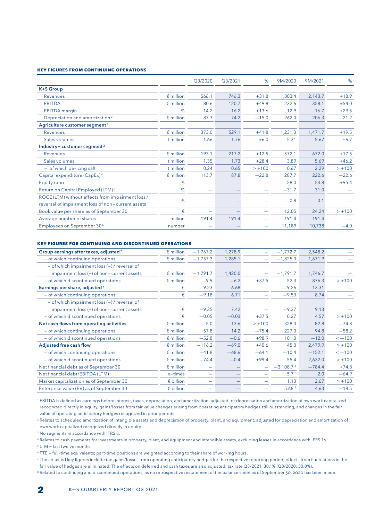#### **Key figures from continuing operations**

|                                                   |                    | Q3/2020 | Q3/2021 | %        | 9M/2020 | 9M/2021 | %        |
|---------------------------------------------------|--------------------|---------|---------|----------|---------|---------|----------|
| <b>K+S Group</b>                                  |                    |         |         |          |         |         |          |
| Revenues                                          | $\epsilon$ million | 566.1   | 746.3   | $+31.8$  | 1,803.4 | 2,143.7 | $+18.9$  |
| EBITDA <sup>1</sup>                               | $\epsilon$ million | 80.6    | 120.7   | $+49.8$  | 232.6   | 358.1   | $+54.0$  |
| <b>EBITDA</b> margin                              | %                  | 14.2    | 16.2    | $+13.6$  | 12.9    | 16.7    | $+29.5$  |
| Depreciation and amortization <sup>2</sup>        | $\epsilon$ million | 87.3    | 74.2    | $-15.0$  | 262.0   | 206.3   | $-21.2$  |
| Agriculture customer segment <sup>3</sup>         |                    |         |         |          |         |         |          |
| Revenues                                          | $\epsilon$ million | 373.0   | 529.1   | $+41.8$  | 1,231.3 | 1,471.7 | $+19.5$  |
| Sales volumes                                     | t million          | 1.66    | 1.76    | $+6.0$   | 5.31    | 5.67    | $+6.7$   |
| Industry+ customer segment <sup>3</sup>           |                    |         |         |          |         |         |          |
| Revenues                                          | $\epsilon$ million | 193.1   | 217.2   | $+12.5$  | 572.1   | 672.0   | $+17.5$  |
| Sales volumes                                     | t million          | 1.35    | 1.73    | $+28.4$  | 3.89    | 5.69    | $+46.2$  |
| - of which de-icing salt                          | t million          | 0.24    | 0.65    | $> +100$ | 0.67    | 2.29    | $> +100$ |
| Capital expenditure (CapEx) <sup>4</sup>          | $\epsilon$ million | 113.7   | 87.8    | $-22.8$  | 287.7   | 222.6   | $-22.6$  |
| Equity ratio                                      | %                  |         |         |          | 28.0    | 54.8    | $+95.4$  |
| Return on Capital Employed (LTM) <sup>5</sup>     | %                  |         |         |          | $-31.7$ | 31.0    |          |
| ROCE (LTM) without effects from impairment loss / | %                  |         |         |          | $-0.8$  | 0.1     |          |
| reversal of impairment loss of non-current assets |                    |         |         |          |         |         |          |
| Book value per share as of September 30           | €                  |         |         | -        | 12.05   | 24.24   | $> +100$ |
| Average number of shares                          | million            | 191.4   | 191.4   |          | 191.4   | 191.4   |          |
| Employees on September 30 <sup>6</sup>            | number             |         |         | -        | 11,189  | 10,738  | $-4.0$   |

#### **Key figures for continuing and discontinued operations**

| Group earnings after taxes, adjusted <sup>7</sup> | $\epsilon$ million | $-1,767.2$ | 1,278.9 |          | $-1,772.7$        | 2,548.2  |             |
|---------------------------------------------------|--------------------|------------|---------|----------|-------------------|----------|-------------|
| - of which continuing operations                  | $\epsilon$ million | $-1,757.3$ | 1,285.1 |          | $-1,825.0$        | 1,671.9  |             |
| - of which impairment loss (-) / reversal of      |                    |            |         |          |                   |          |             |
| impairment loss (+) of non-current assets         | $\epsilon$ million | $-1,791.7$ | 1,420.0 |          | $-1,791.7$        | 1,746.7  |             |
| - of which discontinued operations                | $\epsilon$ million | $-9.9$     | $-6.2$  | $+37.5$  | 52.3              | 876.3    | $> +100$    |
| Earnings per share, adjusted <sup>7</sup>         | €                  | $-9.23$    | 6.68    | -        | $-9.26$           | 13.31    |             |
| - of which continuing operations                  | €                  | $-9.18$    | 6.71    | -        | $-9.53$           | 8.74     |             |
| - of which impairment loss (-) / reversal of      |                    |            |         |          |                   |          |             |
| impairment loss (+) of non-current assets         | €                  | $-9.35$    | 7.42    |          | $-9.37$           | 9.13     |             |
| - of which discontinued operations                | €                  | $-0.05$    | $-0.03$ | $+37.5$  | 0.27              | 4.57     | $> +100$    |
| Net cash flows from operating activities          | $\epsilon$ million | 5.0        | 13.6    | $> +100$ | 328.0             | 82.8     | $-74.8$     |
| - of which continuing operations                  | $\epsilon$ million | 57.8       | 14.2    | $-75.4$  | 227.0             | 94.8     | $-58.2$     |
| - of which discontinued operations                | $\epsilon$ million | $-52.8$    | $-0.6$  | $+98.9$  | 101.0             | $-12.0$  | $\sim -100$ |
| <b>Adjusted free cash flow</b>                    | $\epsilon$ million | $-116.2$   | $-69.0$ | $+40.6$  | 45.0              | 2,479.9  | $> +100$    |
| - of which continuing operations                  | $\epsilon$ million | $-41.8$    | $-68.6$ | $-64.1$  | $-10.4$           | $-152.1$ | $\sim -100$ |
| - of which discontinued operations                | $\epsilon$ million | $-74.4$    | $-0.4$  | $+99.4$  | 55.4              | 2,632.0  | $> +100$    |
| Net financial debt as of September 30             | $\epsilon$ million | -          |         |          | $-3,108.78$       | $-784.4$ | $+74.8$     |
| Net financial debt/EBITDA (LTM) <sup>5</sup>      | $x - times$        | -          |         |          | 5.7 <sup>8</sup>  | 2.0      | $-64.9$     |
| Market capitalization as of September 30          | $\epsilon$ billion |            |         | -        | 1.13              | 2.67     | $> +100$    |
| Enterprise value (EV) as of September 30          | $\epsilon$ billion |            |         |          | 5.68 <sup>8</sup> | 4.63     | $-18.5$     |

<sup>1</sup> EBITDA is defined as earnings before interest, taxes, depreciation, and amortization, adjusted for depreciation and amortization of own work capitalized recognized directly in equity, gains/losses from fair value changes arising from operating anticipatory hedges still outstanding, and changes in the fair value of operating anticipatory hedges recognized in prior periods.

<sup>2</sup> Relates to scheduled amortization of intangible assets and depreciation of property, plant, and equipment, adjusted for depreciation and amortization of own work capitalized recognized directly in equity.

<sup>3</sup> No segments in accordance with IFRS 8.

<sup>4</sup> Relates to cash payments for investments in property, plant, and equipment and intangible assets, excluding leases in accordance with IFRS 16.

<sup>5</sup> LTM = last twelve months

<sup>6</sup> FTE = full–time equivalents; part–time positions are weighted according to their share of working hours.

<sup>7</sup> The adjusted key figures include the gains/losses from operating anticipatory hedges for the respective reporting period; effects from fluctuations in the fair value of hedges are eliminated. The effects on deferred and cash taxes are also adjusted; tax rate Q3/2021: 30.1% (Q3/2020: 30.0%).

8 Related to continuing and discontinued operations, as no retrospective restatement of the balance sheet as of September 30, 2020 has been made.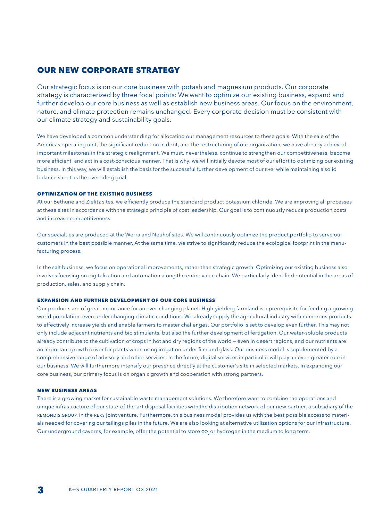## **our new corporate strategy**

Our strategic focus is on our core business with potash and magnesium products. Our corporate strategy is characterized by three focal points: We want to optimize our existing business, expand and further develop our core business as well as establish new business areas. Our focus on the environment, nature, and climate protection remains unchanged. Every corporate decision must be consistent with our climate strategy and sustainability goals.

We have developed a common understanding for allocating our management resources to these goals. With the sale of the Americas operating unit, the significant reduction in debt, and the restructuring of our organization, we have already achieved important milestones in the strategic realignment. We must, nevertheless, continue to strengthen our competitiveness, become more efficient, and act in a cost-conscious manner. That is why, we will initially devote most of our effort to optimizing our existing business. In this way, we will establish the basis for the successful further development of our K+S, while maintaining a solid balance sheet as the overriding goal.

#### **OPTIMIZATION OF THE EXISTING BUSINESS**

At our Bethune and Zielitz sites, we efficiently produce the standard product potassium chloride. We are improving all processes at these sites in accordance with the strategic principle of cost leadership. Our goal is to continuously reduce production costs and increase competitiveness.

Our specialties are produced at the Werra and Neuhof sites. We will continuously optimize the product portfolio to serve our customers in the best possible manner. At the same time, we strive to significantly reduce the ecological footprint in the manufacturing process.

In the salt business, we focus on operational improvements, rather than strategic growth. Optimizing our existing business also involves focusing on digitalization and automation along the entire value chain. We particularly identified potential in the areas of production, sales, and supply chain.

#### **EXPANSION AND FURTHER DEVELOPMENT OF OUR CORE BUSINESS**

Our products are of great importance for an ever-changing planet. High-yielding farmland is a prerequisite for feeding a growing world population, even under changing climatic conditions. We already supply the agricultural industry with numerous products to effectively increase yields and enable farmers to master challenges. Our portfolio is set to develop even further. This may not only include adjacent nutrients and bio stimulants, but also the further development of fertigation. Our water-soluble products already contribute to the cultivation of crops in hot and dry regions of the world — even in desert regions, and our nutrients are an important growth driver for plants when using irrigation under film and glass. Our business model is supplemented by a comprehensive range of advisory and other services. In the future, digital services in particular will play an even greater role in our business. We will furthermore intensify our presence directly at the customer's site in selected markets. In expanding our core business, our primary focus is on organic growth and cooperation with strong partners.

#### **NEW BUSINESS AREAS**

There is a growing market for sustainable waste management solutions. We therefore want to combine the operations and unique infrastructure of our state-of-the-art disposal facilities with the distribution network of our new partner, a subsidiary of the Remondis Group, in the REKS joint venture. Furthermore, this business model provides us with the best possible access to materials needed for covering our tailings piles in the future. We are also looking at alternative utilization options for our infrastructure. Our underground caverns, for example, offer the potential to store co<sub>2</sub> or hydrogen in the medium to long term.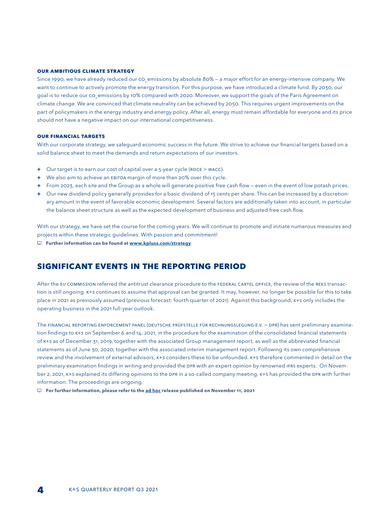#### **OUR AMBITIOUS CLIMATE strategy**

Since 1990, we have already reduced our CO<sub>2</sub> emissions by absolute 80% – a major effort for an energy-intensive company. We want to continue to actively promote the energy transition. For this purpose, we have introduced a climate fund. By 2030, our goal is to reduce our co emissions by 10% compared with 2020. Moreover, we support the goals of the Paris Agreement on climate change. We are convinced that climate neutrality can be achieved by 2050. This requires urgent improvements on the part of policymakers in the energy industry and energy policy. After all, energy must remain affordable for everyone and its price should not have a negative impact on our international competitiveness.

#### **OUR FINANCIAL TARGETS**

With our corporate strategy, we safeguard economic success in the future. We strive to achieve our financial targets based on a solid balance sheet to meet the demands and return expectations of our investors.

- **+** Our target is to earn our cost of capital over a 5-year cycle (ROCE > WACC).
- **+** We also aim to achieve an EBITDA margin of more than 20% over this cycle.
- **+** From 2023, each site and the Group as a whole will generate positive free cash flow even in the event of low potash prices.
- **+** Our new dividend policy generally provides for a basic dividend of 15 cents per share. This can be increased by a discretionary amount in the event of favorable economic development. Several factors are additionally taken into account, in particular the balance sheet structure as well as the expected development of business and adjusted free cash flow.

With our strategy, we have set the course for the coming years. We will continue to promote and initiate numerous measures and projects within these strategic guidelines. With passion and commitment!

**Further information can be found at www.kpluss.com/strategy**

## **Significant events in the reporting period**

After the EU COMMISSION referred the antitrust clearance procedure to the FEDERAL CARTEL OFFICE, the review of the REKS transaction is still ongoing. K+S continues to assume that approval can be granted. It may, however, no longer be possible for this to take place in 2021 as previously assumed (previous forecast: fourth quarter of 2021). Against this background, K+S only includes the operating business in the 2021 full-year outlook.

The Financial Reporting Enforcement Panel (Deutsche Prüfstelle für Rechnungslegung e.V. − DPR) has sent preliminary examination findings to K+S on September 6 and 14, 2021, in the procedure for the examination of the consolidated financial statements of K+S as of December 31, 2019, together with the associated Group management report, as well as the abbreviated financial statements as of June 30, 2020, together with the associated interim management report. Following its own comprehensive review and the involvement of external advisors, K+S considers these to be unfounded. K+S therefore commented in detail on the preliminary examination findings in writing and provided the DPR with an expert opinion by renowned IFRS experts. On November 2, 2021, K+S explained its differing opinions to the DPR in a so-called company meeting. K+S has provided the DPR with further information. The proceedings are ongoing.

**For further information, please refer to the ad hoc release published on November 11, 2021**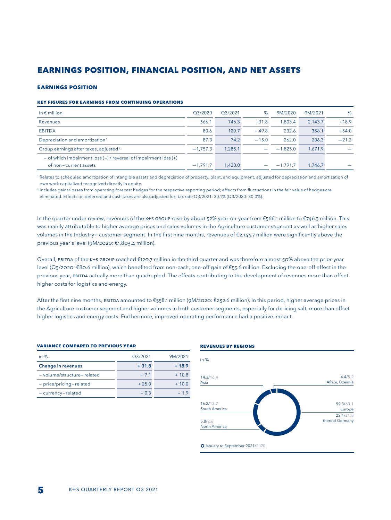## **EARNINGS POSITION, FINANCIAL POSITION, AND NET ASSETS**

#### **EARNINGS POSITION**

#### **Key figures for earnings from continuing operations**

| in $\epsilon$ million                                                      | O3/2020    | O3/2021 | %       | 9M/2020    | 9M/2021 | %       |
|----------------------------------------------------------------------------|------------|---------|---------|------------|---------|---------|
| Revenues                                                                   | 566.1      | 746.3   | $+31.8$ | 1.803.4    | 2.143.7 | $+18.9$ |
| <b>EBITDA</b>                                                              | 80.6       | 120.7   | $+49.8$ | 232.6      | 358.1   | $+54.0$ |
| Depreciation and amortization <sup>1</sup>                                 | 87.3       | 74.2    | $-15.0$ | 262.0      | 206.3   | $-21.2$ |
| Group earnings after taxes, adjusted <sup>2</sup>                          | $-1.757.3$ | 1.285.1 |         | $-1.825.0$ | 1.671.9 |         |
| $-$ of which impairment loss ( $-$ ) / reversal of impairment loss ( $+$ ) |            |         |         |            |         |         |
| of non-current assets                                                      | $-1.791.7$ | 1.420.0 |         | $-1.791.7$ | 1.746.7 |         |

<sup>1</sup> Relates to scheduled amortization of intangible assets and depreciation of property, plant, and equipment, adjusted for depreciation and amortization of own work capitalized recognized directly in equity.

<sup>2</sup> Includes gains/losses from operating forecast hedges for the respective reporting period; effects from fluctuations in the fair value of hedges are eliminated. Effects on deferred and cash taxes are also adjusted for; tax rate Q3/2021: 30.1% (Q3/2020: 30.0%).

In the quarter under review, revenues of the K+S GROUP rose by about 32% year-on-year from €566.1 million to €746.3 million. This was mainly attributable to higher average prices and sales volumes in the Agriculture customer segment as well as higher sales volumes in the Industry+ customer segment. In the first nine months, revenues of €2,143.7 million were significantly above the previous year's level (9M/2020: €1,803.4 million).

Overall, EBITDA of the K+S Group reached €120.7 million in the third quarter and was therefore almost 50% above the prior-year level (Q3/2020: €80.6 million), which benefited from non-cash, one-off gain of €55.6 million. Excluding the one-off effect in the previous year, EBITDA actually more than quadrupled. The effects contributing to the development of revenues more than offset higher costs for logistics and energy.

After the first nine months, EBITDA amounted to €358.1 million (9M/2020: €232.6 million). In this period, higher average prices in the Agriculture customer segment and higher volumes in both customer segments, especially for de-icing salt, more than offset higher logistics and energy costs. Furthermore, improved operating performance had a positive impact.

#### **Variance compared to previous year**

| in $%$                     | O3/2021 | 9M/2021 |
|----------------------------|---------|---------|
| <b>Change in revenues</b>  | $+31.8$ | $+18.9$ |
| - volume/structure-related | $+71$   | $+10.8$ |
| - price/pricing-related    | $+25.0$ | $+10.0$ |
| - currency-related         | $-0.3$  | $-19$   |

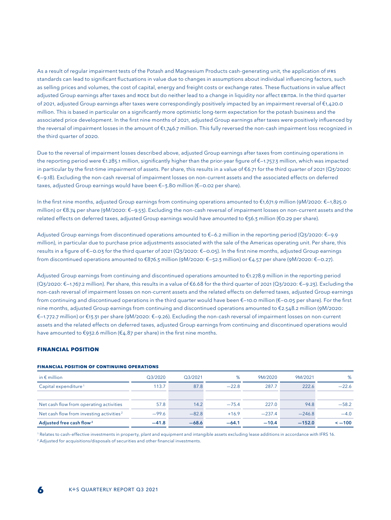As a result of regular impairment tests of the Potash and Magnesium Products cash-generating unit, the application of IFRS standards can lead to significant fluctuations in value due to changes in assumptions about individual influencing factors, such as selling prices and volumes, the cost of capital, energy and freight costs or exchange rates. These fluctuations in value affect adjusted Group earnings after taxes and ROCE but do neither lead to a change in liquidity nor affect EBITDA. In the third quarter of 2021, adjusted Group earnings after taxes were correspondingly positively impacted by an impairment reversal of €1,420.0 million. This is based in particular on a significantly more optimistic long-term expectation for the potash business and the associated price development. In the first nine months of 2021, adjusted Group earnings after taxes were positively influenced by the reversal of impairment losses in the amount of €1,746.7 million. This fully reversed the non-cash impairment loss recognized in the third quarter of 2020.

Due to the reversal of impairment losses described above, adjusted Group earnings after taxes from continuing operations in the reporting period were €1.285.1 million, significantly higher than the prior-year figure of €—1.757.3 million, which was impacted in particular by the first-time impairment of assets. Per share, this results in a value of €6.71 for the third quarter of 2021 (Q3/2020: €—9.18). Excluding the non-cash reversal of impairment losses on non-current assets and the associated effects on deferred taxes, adjusted Group earnings would have been €—3.80 million (€—0.02 per share).

In the first nine months, adjusted Group earnings from continuing operations amounted to €1,671.9 million (9M/2020: €—1,825.0 million) or €8.74 per share (9M/2020: €—9.53). Excluding the non-cash reversal of impairment losses on non-current assets and the related effects on deferred taxes, adjusted Group earnings would have amounted to €56.3 million (€0.29 per share).

Adjusted Group earnings from discontinued operations amounted to  $\epsilon$ –6.2 million in the reporting period (Q3/2020:  $\epsilon$ –9.9 million), in particular due to purchase price adjustments associated with the sale of the Americas operating unit. Per share, this results in a figure of €—0.03 for the third quarter of 2021 (Q3/2020: €—0.05). In the first nine months, adjusted Group earnings from discontinued operations amounted to €876.3 million (9M/2020: €—52.3 million) or €4.57 per share (9M/2020: €—0.27).

Adjusted Group earnings from continuing and discontinued operations amounted to €1.278.9 million in the reporting period (Q3/2020: €—1.767.2 million). Per share, this results in a value of €6.68 for the third quarter of 2021 (Q3/2020: €—9.23). Excluding the non-cash reversal of impairment losses on non-current assets and the related effects on deferred taxes, adjusted Group earnings from continuing and discontinued operations in the third quarter would have been €—10.0 million (€—0.05 per share). For the first nine months, adjusted Group earnings from continuing and discontinued operations amounted to €2.548.2 million (9M/2020: €—1.772.7 million) or €13.31 per share (9M/2020: €—9.26). Excluding the non-cash reversal of impairment losses on non-current assets and the related effects on deferred taxes, adjusted Group earnings from continuing and discontinued operations would have amounted to  $\epsilon$ 932.6 million ( $\epsilon$ 4.87 per share) in the first nine months.

#### **FINANCIAL POSITION**

| in $\epsilon$ million                                | O3/2020 | O3/2021 | %       | 9M/2020  | 9M/2021  | %           |
|------------------------------------------------------|---------|---------|---------|----------|----------|-------------|
| Capital expenditure <sup>1</sup>                     | 113.7   | 87.8    | $-228$  | 287.7    | 222.6    | $-22.6$     |
|                                                      |         |         |         |          |          |             |
| Net cash flow from operating activities              | 57.8    | 14.2    | $-754$  | 227.0    | 94.8     | $-58.2$     |
| Net cash flow from investing activities <sup>2</sup> | $-99.6$ | $-82.8$ | $+16.9$ | $-237.4$ | $-246.8$ | $-4.0$      |
| Adjusted free cash flow <sup>2</sup>                 | $-41.8$ | $-68.6$ | $-64.1$ | $-10.4$  | $-152.0$ | $\leq -100$ |

#### **Financial position of continuing operations**

1 Relates to cash–effective investments in property, plant and equipment and intangible assets excluding lease additions in accordance with IFRS 16.

<sup>2</sup> Adjusted for acquisitions/disposals of securities and other financial investments.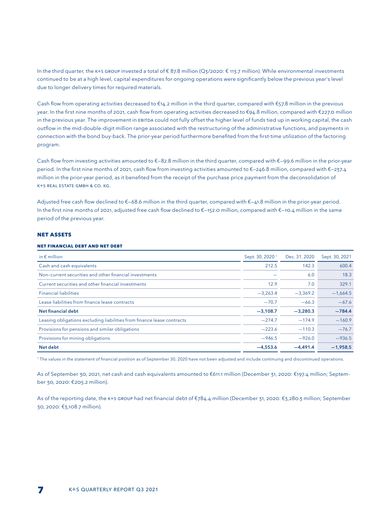In the third quarter, the K+S GROUP invested a total of € 87.8 million (Q3/2020: € 113.7 million). While environmental investments continued to be at a high level, capital expenditures for ongoing operations were significantly below the previous year's level due to longer delivery times for required materials.

Cash flow from operating activities decreased to  $\epsilon_{14.2}$  million in the third quarter, compared with  $\epsilon_{57.8}$  million in the previous year. In the first nine months of 2021, cash flow from operating activities decreased to €94.8 million, compared with €227.0 million in the previous year. The improvement in EBITDA could not fully offset the higher level of funds tied up in working capital, the cash outflow in the mid-double-digit million range associated with the restructuring of the administrative functions, and payments in connection with the bond buy-back. The prior-year period furthermore benefited from the first-time utilization of the factoring program.

Cash flow from investing activities amounted to €—82.8 million in the third quarter, compared with €—99.6 million in the prior-year period. In the first nine months of 2021, cash flow from investing activities amounted to €—246.8 million, compared with €—237.4 million in the prior-year period, as it benefited from the receipt of the purchase price payment from the deconsolidation of K+S Real Estate GmbH & Co. KG.

Adjusted free cash flow declined to €—68.6 million in the third quarter, compared with €—41.8 million in the prior-year period. In the first nine months of 2021, adjusted free cash flow declined to €—152.0 million, compared with €—10.4 million in the same period of the previous year.

#### **NET ASSETS**

#### **Net financial debt and net debt**

| in $\epsilon$ million                                                  | Sept. 30, 2020 <sup>1</sup> | Dec. 31, 2020 | Sept. 30, 2021 |
|------------------------------------------------------------------------|-----------------------------|---------------|----------------|
| Cash and cash equivalents                                              | 212.5                       | 142.3         | 600.4          |
| Non-current securities and other financial investments                 |                             | 6.0           | 18.3           |
| Current securities and other financial investments                     | 12.9                        | 7.0           | 329.1          |
| <b>Financial liabilities</b>                                           | $-3,263.4$                  | $-3,369.2$    | $-1,664.5$     |
| Lease liabilities from finance lease contracts                         | $-70.7$                     | $-66.3$       | $-67.6$        |
| Net financial debt                                                     | $-3,108.7$                  | $-3.280.3$    | $-784.4$       |
| Leasing obligations excluding liabilities from finance lease contracts | $-274.7$                    | $-174.9$      | $-160.9$       |
| Provisions for pensions and similar obligations                        | $-223.6$                    | $-110.3$      | $-76.7$        |
| Provisions for mining obligations                                      | $-946.5$                    | $-926.0$      | $-936.5$       |
| Net debt                                                               | $-4,553.6$                  | $-4.491.4$    | $-1,958.5$     |

1 The values in the statement of financial position as of September 30, 2020 have not been adjusted and include continuing and discontinued operations.

As of September 30, 2021, net cash and cash equivalents amounted to €611.1 million (December 31, 2020: €197.4 million; September 30, 2020: €205.2 million).

As of the reporting date, the K+S GROUP had net financial debt of €784.4 million (December 31, 2020: €3,280.3 million; September 30, 2020: €3,108.7 million).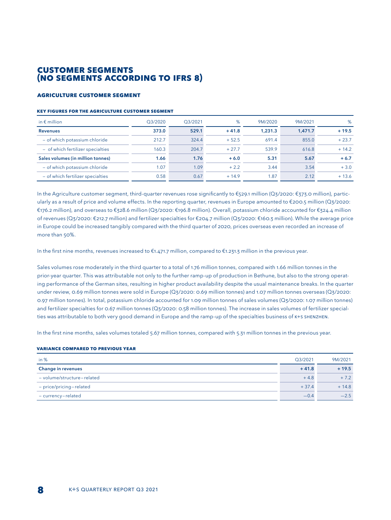## **CUSTOMER SEGMENTS (NO SEGMENTS ACCORDING TO IFRS 8)**

#### **AGRICULTURE CUSTOMER SEGMENT**

#### **KeY Figures for the agriculture Customer segment**

| in $\epsilon$ million             | Q3/2020 | O3/2021 | %       | 9M/2020 | 9M/2021 | %       |
|-----------------------------------|---------|---------|---------|---------|---------|---------|
| <b>Revenues</b>                   | 373.0   | 529.1   | $+41.8$ | 1,231.3 | 1.471.7 | $+19.5$ |
| - of which potassium chloride     | 212.7   | 324.4   | $+52.5$ | 691.4   | 855.0   | $+23.7$ |
| - of which fertilizer specialties | 160.3   | 204.7   | $+27.7$ | 539.9   | 616.8   | $+14.2$ |
| Sales volumes (in million tonnes) | 1.66    | 1.76    | $+6.0$  | 5.31    | 5.67    | $+6.7$  |
| - of which potassium chloride     | 1.07    | 1.09    | $+2.2$  | 3.44    | 3.54    | $+3.0$  |
| - of which fertilizer specialties | 0.58    | 0.67    | $+14.9$ | 1.87    | 2.12    | $+13.6$ |

In the Agriculture customer segment, third-quarter revenues rose significantly to €529.1 million (Q3/2020: €373.0 million), particularly as a result of price and volume effects. In the reporting quarter, revenues in Europe amounted to €200.5 million (Q3/2020: €176.2 million), and overseas to €328.6 million (Q3/2020: €196.8 million). Overall, potassium chloride accounted for €324.4 million of revenues (Q3/2020: €212.7 million) and fertilizer specialties for €204.7 million (Q3/2020: €160.3 million). While the average price in Europe could be increased tangibly compared with the third quarter of 2020, prices overseas even recorded an increase of more than 50%.

In the first nine months, revenues increased to €1.471.7 million, compared to €1.231.3 million in the previous year.

Sales volumes rose moderately in the third quarter to a total of 1.76 million tonnes, compared with 1.66 million tonnes in the prior-year quarter. This was attributable not only to the further ramp-up of production in Bethune, but also to the strong operating performance of the German sites, resulting in higher product availability despite the usual maintenance breaks. In the quarter under review, 0.69 million tonnes were sold in Europe (Q3/2020: 0.69 million tonnes) and 1.07 million tonnes overseas (Q3/2020: 0.97 million tonnes). In total, potassium chloride accounted for 1.09 million tonnes of sales volumes (Q3/2020: 1.07 million tonnes) and fertilizer specialties for 0.67 million tonnes (Q3/2020: 0.58 million tonnes). The increase in sales volumes of fertilizer specialties was attributable to both very good demand in Europe and the ramp-up of the specialties business of K+S SHENZHEN.

In the first nine months, sales volumes totaled 5.67 million tonnes, compared with 5.31 million tonnes in the previous year.

#### **Variance compared to previous year**

| in $%$                     | O3/2021 | 9M/2021 |
|----------------------------|---------|---------|
| <b>Change in revenues</b>  | $+41.8$ | $+19.5$ |
| - volume/structure-related | $+4.8$  | $+7.2$  |
| - price/pricing-related    | $+37.4$ | $+14.8$ |
| - currency-related         | $-0.4$  | $-2.5$  |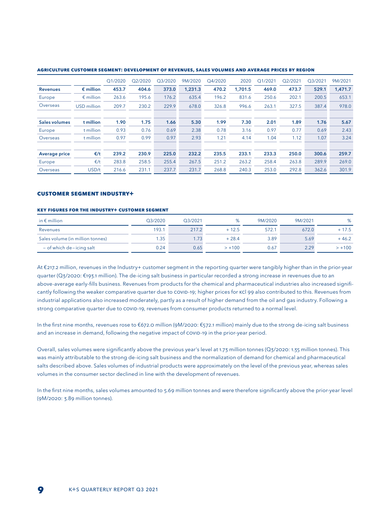|                      |                    | Q1/2020 | Q2/2020 | Q3/2020 | 9M/2020 | Q4/2020 | 2020    | Q1/2021 | Q2/2021 | Q3/2021 | 9M/2021 |
|----------------------|--------------------|---------|---------|---------|---------|---------|---------|---------|---------|---------|---------|
| <b>Revenues</b>      | $\epsilon$ million | 453.7   | 404.6   | 373.0   | 1,231.3 | 470.2   | 1.701.5 | 469.0   | 473.7   | 529.1   | 1.471.7 |
| Europe               | $\epsilon$ million | 263.6   | 195.6   | 176.2   | 635.4   | 196.2   | 831.6   | 250.6   | 202.1   | 200.5   | 653.1   |
| Overseas             | <b>USD</b> million | 209.7   | 230.2   | 229.9   | 678.0   | 326.8   | 996.6   | 263.1   | 327.5   | 387.4   | 978.0   |
|                      |                    |         |         |         |         |         |         |         |         |         |         |
| <b>Sales volumes</b> | t million          | 1.90    | 1.75    | 1.66    | 5.30    | 1.99    | 7.30    | 2.01    | 1.89    | 1.76    | 5.67    |
| Europe               | t million          | 0.93    | 0.76    | 0.69    | 2.38    | 0.78    | 3.16    | 0.97    | 0.77    | 0.69    | 2.43    |
| Overseas             | t million          | 0.97    | 0.99    | 0.97    | 2.93    | 1.21    | 4.14    | 1.04    | 1.12    | 1.07    | 3.24    |
|                      |                    |         |         |         |         |         |         |         |         |         |         |
| <b>Average price</b> | $\epsilon/t$       | 239.2   | 230.9   | 225.0   | 232.2   | 235.5   | 233.1   | 233.3   | 250.0   | 300.6   | 259.7   |
| Europe               | $\epsilon/t$       | 283.8   | 258.5   | 255.4   | 267.5   | 251.2   | 263.2   | 258.4   | 263.8   | 289.9   | 269.0   |
| Overseas             | USD/t              | 216.6   | 231.1   | 237.7   | 231.7   | 268.8   | 240.3   | 253.0   | 292.8   | 362.6   | 301.9   |

#### **Agriculture customer segment: development of revenues, sales volumes and average prices by region**

#### **CUSTOMER SEGMENT INDUSTRY+**

#### **KEY FIGURES FOR THE IndustrY+ CUSTOMER SEGMENT**

| in $\epsilon$ million            | Q3/2020 | O3/2021 | %        | 9M/2020 | 9M/2021 | %        |
|----------------------------------|---------|---------|----------|---------|---------|----------|
| Revenues                         | 193.1   | 217.2   | $+12.5$  | 572.1   | 672.0   | $+17.5$  |
| Sales volume (in million tonnes) | 1.35    | 1.73    | $+28.4$  | 3.89    | 5.69    | $+46.2$  |
| $-$ of which de-icing salt       | 0.24    | 0.65    | $> +100$ | 0.67    | 2.29    | $> +100$ |

At €217.2 million, revenues in the Industry+ customer segment in the reporting quarter were tangibly higher than in the prior-year quarter (Q3/2020: €193.1 million). The de-icing salt business in particular recorded a strong increase in revenues due to an above-average early-fills business. Revenues from products for the chemical and pharmaceutical industries also increased significantly following the weaker comparative quarter due to COVID-19; higher prices for KCl 99 also contributed to this. Revenues from industrial applications also increased moderately, partly as a result of higher demand from the oil and gas industry. Following a strong comparative quarter due to COVID-19, revenues from consumer products returned to a normal level.

In the first nine months, revenues rose to €672.0 million (9M/2020: €572.1 million) mainly due to the strong de-icing salt business and an increase in demand, following the negative impact of COVID-19 in the prior-year period.

Overall, sales volumes were significantly above the previous year's level at 1.73 million tonnes (Q3/2020: 1.35 million tonnes). This was mainly attributable to the strong de-icing salt business and the normalization of demand for chemical and pharmaceutical salts described above. Sales volumes of industrial products were approximately on the level of the previous year, whereas sales volumes in the consumer sector declined in line with the development of revenues.

In the first nine months, sales volumes amounted to 5.69 million tonnes and were therefore significantly above the prior-year level (9M/2020: 3.89 million tonnes).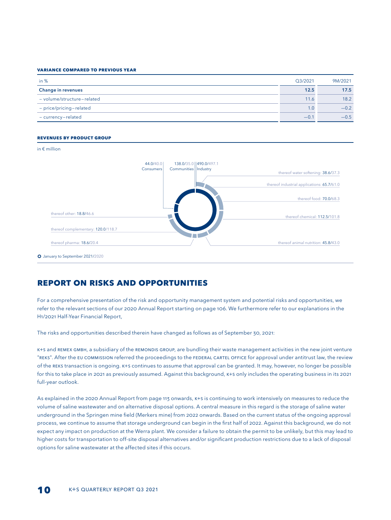#### **Variance compared to previous year**

| in $%$                     | O3/2021 | 9M/2021 |
|----------------------------|---------|---------|
| <b>Change in revenues</b>  | 12.5    | 17.5    |
| - volume/structure-related | 11.6    | 18.2    |
| - price/pricing-related    | 1.0     | $-0.2$  |
| - currency-related         | $-0.1$  | $-0.5$  |

#### **Revenues by product group**

#### in € million

|                                            | 138.0/35.0   490.0/497.1 | 44.0/40.0                          |
|--------------------------------------------|--------------------------|------------------------------------|
| thereof water softening: 38.6/37.3         | Communities Industry     | Consumers                          |
|                                            |                          |                                    |
| thereof industrial applications: 65.7/61.0 |                          |                                    |
| thereof food: <b>70.0/</b> 68.3            |                          |                                    |
|                                            |                          |                                    |
| thereof chemical: 112.5/101.8              |                          | thereof other: 18.8/46.6           |
|                                            |                          | thereof complementary: 120.0/118.7 |
| thereof animal nutrition: 45.8/43.0        |                          | thereof pharma: 18.6/20.4          |

## **report on risks and opportunities**

For a comprehensive presentation of the risk and opportunity management system and potential risks and opportunities, we refer to the relevant sections of our 2020 Annual Report starting on page 106. We furthermore refer to our explanations in the H1/2021 Half-Year Financial Report,

The risks and opportunities described therein have changed as follows as of September 30, 2021:

K+S and REMEX GmbH, a subsidiary of the REMONDIS GROUP, are bundling their waste management activities in the new joint venture "REKS". After the EU Commission referred the proceedings to the Federal Cartel Office for approval under antitrust law, the review of the REKS transaction is ongoing. K+S continues to assume that approval can be granted. It may, however, no longer be possible for this to take place in 2021 as previously assumed. Against this background, K+S only includes the operating business in its 2021 full-year outlook.

As explained in the 2020 Annual Report from page 113 onwards, K+S is continuing to work intensively on measures to reduce the volume of saline wastewater and on alternative disposal options. A central measure in this regard is the storage of saline water underground in the Springen mine field (Merkers mine) from 2022 onwards. Based on the current status of the ongoing approval process, we continue to assume that storage underground can begin in the first half of 2022. Against this background, we do not expect any impact on production at the Werra plant. We consider a failure to obtain the permit to be unlikely, but this may lead to higher costs for transportation to off-site disposal alternatives and/or significant production restrictions due to a lack of disposal options for saline wastewater at the affected sites if this occurs.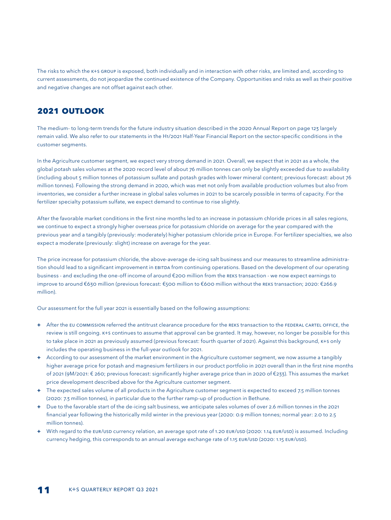The risks to which the K+S GROUP is exposed, both individually and in interaction with other risks, are limited and, according to current assessments, do not jeopardize the continued existence of the Company. Opportunities and risks as well as their positive and negative changes are not offset against each other.

## **2021 OUTLOOK**

The medium- to long-term trends for the future industry situation described in the 2020 Annual Report on page 123 largely remain valid. We also refer to our statements in the H1/2021 Half-Year Financial Report on the sector-specific conditions in the customer segments.

In the Agriculture customer segment, we expect very strong demand in 2021. Overall, we expect that in 2021 as a whole, the global potash sales volumes at the 2020 record level of about 76 million tonnes can only be slightly exceeded due to availability (including about 5 million tonnes of potassium sulfate and potash grades with lower mineral content; previous forecast: about 76 million tonnes). Following the strong demand in 2020, which was met not only from available production volumes but also from inventories, we consider a further increase in global sales volumes in 2021 to be scarcely possible in terms of capacity. For the fertilizer specialty potassium sulfate, we expect demand to continue to rise slightly.

After the favorable market conditions in the first nine months led to an increase in potassium chloride prices in all sales regions, we continue to expect a strongly higher overseas price for potassium chloride on average for the year compared with the previous year and a tangibly (previously: moderately) higher potassium chloride price in Europe. For fertilizer specialties, we also expect a moderate (previously: slight) increase on average for the year.

The price increase for potassium chloride, the above-average de-icing salt business and our measures to streamline administration should lead to a significant improvement in EBITDA from continuing operations. Based on the development of our operating business - and excluding the one-off income of around €200 million from the REKS transaction - we now expect earnings to improve to around €630 million (previous forecast: €500 million to €600 million without the REKS transaction; 2020: €266.9 million).

Our assessment for the full year 2021 is essentially based on the following assumptions:

- + After the EU COMMISSION referred the antitrust clearance procedure for the REKS transaction to the FEDERAL CARTEL OFFICE, the review is still ongoing. K+S continues to assume that approval can be granted. It may, however, no longer be possible for this to take place in 2021 as previously assumed (previous forecast: fourth quarter of 2021). Against this background, K+S only includes the operating business in the full-year outlook for 2021.
- **+** According to our assessment of the market environment in the Agriculture customer segment, we now assume a tangibly higher average price for potash and magnesium fertilizers in our product portfolio in 2021 overall than in the first nine months of 2021 (9M/2021: € 260; previous forecast: significantly higher average price than in 2020 of €233). This assumes the market price development described above for the Agriculture customer segment.
- **+** The expected sales volume of all products in the Agriculture customer segment is expected to exceed 7.5 million tonnes (2020: 7.3 million tonnes), in particular due to the further ramp-up of production in Bethune.
- **+** Due to the favorable start of the de-icing salt business, we anticipate sales volumes of over 2.6 million tonnes in the 2021 financial year following the historically mild winter in the previous year (2020: 0.9 million tonnes; normal year: 2.0 to 2.5 million tonnes).
- **+** With regard to the EUR/USD currency relation, an average spot rate of 1.20 EUR/USD (2020: 1.14 EUR/USD) is assumed. Including currency hedging, this corresponds to an annual average exchange rate of 1.15 EUR/USD (2020: 1.15 EUR/USD).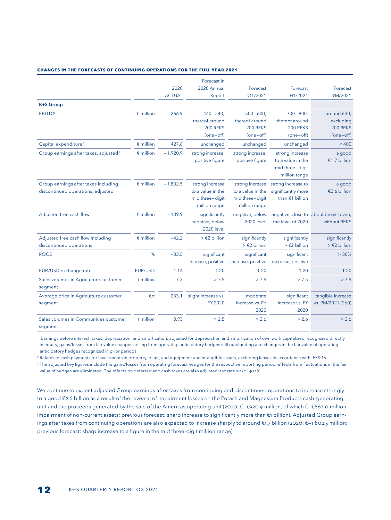#### **CHANGES in THE FORECASTS OF CONTINUING OPERATIONS FOR THE FULL YEAR 2021**

|                                                                           |                    |               | Forecast in                                                              |                                                                          |                                                                          |                                                      |
|---------------------------------------------------------------------------|--------------------|---------------|--------------------------------------------------------------------------|--------------------------------------------------------------------------|--------------------------------------------------------------------------|------------------------------------------------------|
|                                                                           |                    | 2020          | 2020 Annual                                                              | Forecast                                                                 | Forecast                                                                 | Forecast                                             |
|                                                                           |                    | <b>ACTUAL</b> | Report                                                                   | Q1/2021                                                                  | H1/2021                                                                  | 9M/2021                                              |
| <b>K+S Group</b>                                                          |                    |               |                                                                          |                                                                          |                                                                          |                                                      |
| EBITDA <sup>1</sup>                                                       | $\epsilon$ million | 266.9         | $440 - 540:$                                                             | $500 - 600$                                                              | $700 - 800$ :                                                            | around 630;                                          |
|                                                                           |                    |               | thereof around                                                           | thereof around                                                           | thereof around                                                           | excluding                                            |
|                                                                           |                    |               | <b>200 REKS</b>                                                          | <b>200 REKS</b>                                                          | <b>200 REKS</b>                                                          | <b>200 REKS</b>                                      |
|                                                                           |                    |               | $(one-off)$                                                              | $(one-off)$                                                              | $(one-off)$                                                              | $(one-off)$                                          |
| Capital expenditure <sup>2</sup>                                          | $\epsilon$ million | 427.6         | unchanged                                                                | unchanged                                                                | unchanged                                                                | < 400                                                |
| Group earnings after taxes, adjusted <sup>3</sup>                         | $\epsilon$ million | $-1.920.9$    | strong increase,<br>positive figure                                      | strong increase,<br>positive figure                                      | strong increase<br>to a value in the<br>mid three-digit<br>million range | a good<br>€1.7 billion                               |
| Group earnings after taxes including<br>discontinued operations, adjusted | $\epsilon$ million | $-1,802.5$    | strong increase<br>to a value in the<br>mid three-digit<br>million range | strong increase<br>to a value in the<br>mid three-digit<br>million range | strong increase to<br>significantly more<br>than €1 billion              | a good<br>€2.6 billion                               |
| Adjusted free cash flow                                                   | $\epsilon$ million | $-109.9$      | significantly<br>negative, below<br><b>2020 level</b>                    | negative, below<br><b>2020</b> level                                     | the level of 2020                                                        | negative, close to about break-even;<br>without REKS |
| Adjusted free cash flow including<br>discontinued operations              | $\epsilon$ million | $-42.2$       | $>$ $\in$ 2 billion                                                      | significantly<br>$>$ $\in$ 2 billion                                     | significantly<br>$>$ $\epsilon$ 2 billion                                | significantly<br>$>$ $\epsilon$ 2 billion            |
| <b>ROCE</b>                                                               | %                  | $-33.5$       | significant<br>increase, positive                                        | significant<br>increase, positive                                        | significant<br>increase, positive                                        | > 30%                                                |
| EUR/USD exchange rate                                                     | EUR/USD            | 1.14          | 1.20                                                                     | 1.20                                                                     | 1.20                                                                     | 1.20                                                 |
| Sales volumes in Agriculture customer<br>segment                          | t million          | 7.3           | > 7.5                                                                    | > 7.5                                                                    | > 7.5                                                                    | > 7.5                                                |
| Average price in Agriculture customer<br>segment                          | E/t                | 233.1         | slight increase vs.<br>FY 2020                                           | moderate<br>increase vs. FY<br>2020                                      | significant<br>increase vs. FY<br>2020                                   | tangible increase<br>vs. 9M/2021 (260)               |
| Sales volumes in Communities customer<br>segment                          | t million          | 0.93          | > 2.5                                                                    | > 2.6                                                                    | > 2.6                                                                    | > 2.6                                                |

1 Earnings before interest, taxes, depreciation, and amortization, adjusted for depreciation and amortization of own work capitalized recognized directly in equity, gains/losses from fair value changes arising from operating anticipatory hedges still outstanding and changes in the fair value of operating anticipatory hedges recognized in prior periods.

2 Relates to cash payments for investments in property, plant, and equipment and intangible assets, excluding leases in accordance with IFRS 16.

<sup>3</sup> The adjusted key figures include the gains/losses from operating forecast hedges for the respective reporting period; effects from fluctuations in the fair value of hedges are eliminated. The effects on deferred and cash taxes are also adjusted; tax rate 2020: 30.1%.

We continue to expect adjusted Group earnings after taxes from continuing and discontinued operations to increase strongly to a good €2.6 billion as a result of the reversal of impairment losses on the Potash and Magnesium Products cash-generating unit and the proceeds generated by the sale of the Americas operating unit (2020: €—1,920.9 million, of which €—1,863.0 million impairment of non-current assets; previous forecast: sharp increase to significantly more than €1 billion). Adjusted Group earnings after taxes from continuing operations are also expected to increase sharply to around €1.7 billion (2020: €—1,802.5 million; previous forecast: sharp increase to a figure in the mid three-digit million range).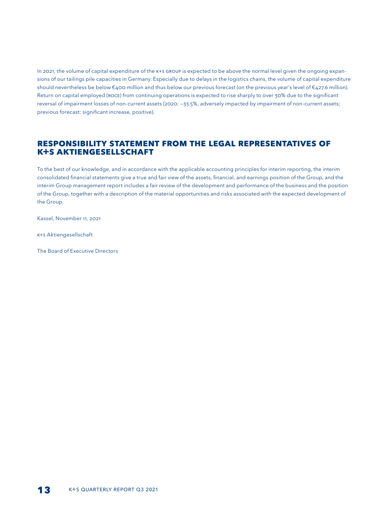In 2021, the volume of capital expenditure of the K+S GROUP is expected to be above the normal level given the ongoing expansions of our tailings pile capacities in Germany. Especially due to delays in the logistics chains, the volume of capital expenditure should nevertheless be below €400 million and thus below our previous forecast (on the previous year's level of €427.6 million). Return on capital employed (ROCE) from continuing operations is expected to rise sharply to over 30% due to the significant reversal of impairment losses of non-current assets (2020: —33.5%, adversely impacted by impairment of non-current assets; previous forecast: significant increase, positive).

## **Responsibility statement from the legal representatives of K+S AKTIENGESELLSCHAFT**

To the best of our knowledge, and in accordance with the applicable accounting principles for interim reporting, the interim consolidated financial statements give a true and fair view of the assets, financial, and earnings position of the Group, and the interim Group management report includes a fair review of the development and performance of the business and the position of the Group, together with a description of the material opportunities and risks associated with the expected development of the Group.

Kassel, November 11, 2021

K+S Aktiengesellschaft

The Board of Executive Directors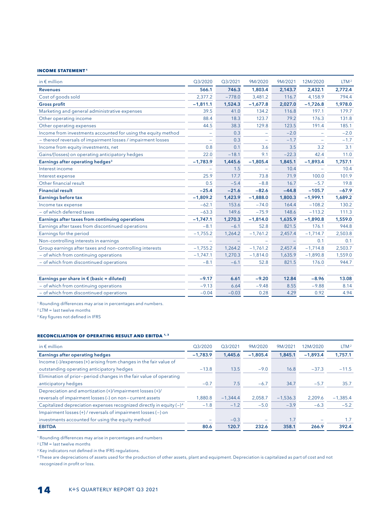#### **INCOME STATEMENT 1**

| in $\epsilon$ million                                         | Q3/2020    | Q3/2021  | 9M/2020                  | 9M/2021 | 12M/2020   | LTM <sup>2</sup> |
|---------------------------------------------------------------|------------|----------|--------------------------|---------|------------|------------------|
| <b>Revenues</b>                                               | 566.1      | 746.3    | 1,803.4                  | 2,143.7 | 2,432.1    | 2,772.4          |
| Cost of goods sold                                            | 2,377.2    | $-778.0$ | 3,481.2                  | 116.7   | 4,158.9    | 794.4            |
| <b>Gross profit</b>                                           | $-1,811.1$ | 1,524.3  | $-1,677.8$               | 2,027.0 | $-1,726.8$ | 1,978.0          |
| Marketing and general administrative expenses                 | 39.5       | 41.0     | 134.2                    | 116.8   | 197.1      | 179.7            |
| Other operating income                                        | 88.4       | 18.3     | 123.7                    | 79.2    | 176.3      | 131.8            |
| Other operating expenses                                      | 44.5       | 38.3     | 129.8                    | 123.5   | 191.4      | 185.1            |
| Income from investments accounted for using the equity method |            | 0.3      | $\overline{\phantom{m}}$ | $-2.0$  |            | $-2.0$           |
| - thereof reversals of impairment losses / impairment losses  |            | 0.3      |                          | $-1.7$  |            | $-1.7$           |
| Income from equity investments, net                           | 0.8        | 0.1      | 3.6                      | 3.5     | 3.2        | 3.1              |
| Gains/(losses) on operating anticipatory hedges               | 22.0       | $-18.1$  | 9.1                      | $-22.3$ | 42.4       | 11.0             |
| Earnings after operating hedges <sup>3</sup>                  | $-1,783.9$ | 1,445.6  | $-1,805.4$               | 1,845.1 | $-1,893.4$ | 1,757.1          |
| Interest income                                               |            | 1.5      | $\overline{\phantom{m}}$ | 10.4    |            | 10.4             |
| Interest expense                                              | 25.9       | 17.7     | 73.8                     | 71.9    | 100.0      | 101.9            |
| Other financial result                                        | 0.5        | $-5.4$   | $-8.8$                   | 16.7    | $-5.7$     | 19.8             |
| <b>Financial result</b>                                       | $-25.4$    | $-21.6$  | $-82.6$                  | $-44.8$ | $-105.7$   | $-67.9$          |
| Earnings before tax                                           | $-1,809.2$ | 1,423.9  | $-1,888.0$               | 1,800.3 | $-1,999.1$ | 1,689.2          |
| Income tax expense                                            | $-62.1$    | 153.6    | $-74.0$                  | 164.4   | $-108.2$   | 130.2            |
| - of which deferred taxes                                     | $-63.3$    | 149.6    | $-75.9$                  | 148.6   | $-113.2$   | 111.3            |
| Earnings after taxes from continuing operations               | $-1,747.1$ | 1,270.3  | $-1,814.0$               | 1,635.9 | $-1,890.8$ | 1,559.0          |
| Earnings after taxes from discontinued operations             | $-8.1$     | $-6.1$   | 52.8                     | 821.5   | 176.1      | 944.8            |
| Earnings for the period                                       | $-1,755.2$ | 1,264.2  | $-1,761.2$               | 2,457.4 | $-1,714.7$ | 2,503.8          |
| Non-controlling interests in earnings                         |            |          |                          |         | 0.1        | 0.1              |
| Group earnings after taxes and non-controlling interests      | $-1,755.2$ | 1,264.2  | $-1,761.2$               | 2,457.4 | $-1,714.8$ | 2,503.7          |
| - of which from continuing operations                         | $-1,747.1$ | 1,270.3  | $-1,814.0$               | 1,635.9 | $-1,890.8$ | 1,559.0          |
| - of which from discontinued operations                       | $-8.1$     | $-6.1$   | 52.8                     | 821.5   | 176.0      | 944.7            |
|                                                               |            |          |                          |         |            |                  |
| Earnings per share in $\epsilon$ (basic = diluted)            | $-9.17$    | 6.61     | $-9.20$                  | 12.84   | $-8.96$    | 13.08            |
| - of which from continuing operations                         | $-9.13$    | 6.64     | $-9.48$                  | 8.55    | $-9.88$    | 8.14             |
| - of which from discontinued operations                       | $-0.04$    | $-0.03$  | 0.28                     | 4.29    | 0.92       | 4.94             |

1 Rounding differences may arise in percentages and numbers.

2 LTM = last twelve months

<sup>3</sup> Key figures not defined in IFRS

#### **Reconciliation of operating result and EBITDA 1, 3**

| in $\epsilon$ million                                                   | O3/2020    | O3/2021    | 9M/2020    | 9M/2021    | 12M/2020   | LTM <sup>2</sup> |
|-------------------------------------------------------------------------|------------|------------|------------|------------|------------|------------------|
| <b>Earnings after operating hedges</b>                                  | $-1.783.9$ | 1,445.6    | $-1.805.4$ | 1,845.1    | $-1.893.4$ | 1.757.1          |
| Income (-)/expenses (+) arising from changes in the fair value of       |            |            |            |            |            |                  |
| outstanding operating anticipatory hedges                               | $-13.8$    | 13.5       | $-9.0$     | 16.8       | $-37.3$    | $-11.5$          |
| Elimination of prior-period changes in the fair value of operating      |            |            |            |            |            |                  |
| anticipatory hedges                                                     | $-0.7$     | 7.5        | $-6.7$     | 34.7       | $-5.7$     | 35.7             |
| Depreciation and amortization (+)/impairment losses (+)/                |            |            |            |            |            |                  |
| reversals of impairment losses (-) on non-current assets                | 1.880.8    | $-1.344.4$ | 2.058.7    | $-1,536.3$ | 2.209.6    | $-1,385.4$       |
| Capitalized depreciation expenses recognized directly in equity $(-)^4$ | $-1.8$     | $-1.2$     | $-5.0$     | $-3.9$     | $-6.3$     | $-5.2$           |
| Impairment losses (+) / reversals of impairment losses (-) on           |            |            |            |            |            |                  |
| investments accounted for using the equity method                       |            | $-0.3$     |            | 1.7        |            | 1.7              |
| <b>EBITDA</b>                                                           | 80.6       | 120.7      | 232.6      | 358.1      | 266.9      | 392.4            |

1 Rounding differences may arise in percentages and numbers

2 LTM = last twelve months

<sup>3</sup> Key indicators not defined in the IFRS regulations.

<sup>4</sup> These are depreciations of assets used for the production of other assets, plant and equipment. Depreciation is capitalized as part of cost and not recognized in profit or loss.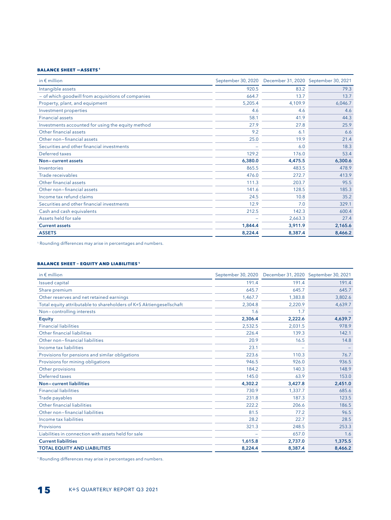#### **BALANCE SHEET -ASSETS 1**

| in $\notin$ million                                |         | September 30, 2020 December 31, 2020 September 30, 2021 |         |
|----------------------------------------------------|---------|---------------------------------------------------------|---------|
| Intangible assets                                  | 920.5   | 83.2                                                    | 79.3    |
| - of which goodwill from acquisitions of companies | 664.7   | 13.7                                                    | 13.7    |
| Property, plant, and equipment                     | 5,205.4 | 4,109.9                                                 | 6,046.7 |
| Investment properties                              | 4.6     | 4.6                                                     | 4.6     |
| <b>Financial assets</b>                            | 58.1    | 41.9                                                    | 44.3    |
| Investments accounted for using the equity method  | 27.9    | 27.8                                                    | 25.9    |
| Other financial assets                             | 9.2     | 6.1                                                     | 6.6     |
| Other non-financial assets                         | 25.0    | 19.9                                                    | 21.4    |
| Securities and other financial investments         |         | 6.0                                                     | 18.3    |
| Deferred taxes                                     | 129.2   | 176.0                                                   | 53.4    |
| Non-current assets                                 | 6,380.0 | 4,475.5                                                 | 6,300.6 |
| Inventories                                        | 865.5   | 483.5                                                   | 478.9   |
| Trade receivables                                  | 476.0   | 272.7                                                   | 413.9   |
| Other financial assets                             | 111.3   | 203.7                                                   | 95.5    |
| Other non-financial assets                         | 141.6   | 128.5                                                   | 185.3   |
| Income tax refund claims                           | 24.5    | 10.8                                                    | 35.2    |
| Securities and other financial investments         | 12.9    | 7.0                                                     | 329.1   |
| Cash and cash equivalents                          | 212.5   | 142.3                                                   | 600.4   |
| Assets held for sale                               |         | 2,663.3                                                 | 27.4    |
| <b>Current assets</b>                              | 1.844.4 | 3,911.9                                                 | 2,165.6 |
| <b>ASSETS</b>                                      | 8,224.4 | 8,387.4                                                 | 8,466.2 |

1 Rounding differences may arise in percentages and numbers.

#### **BALANCE SHEEt – EQUITY and LIABILITIES 1**

| in $\notin$ million                                                 | September 30, 2020 |         | December 31, 2020 September 30, 2021 |
|---------------------------------------------------------------------|--------------------|---------|--------------------------------------|
| <b>Issued capital</b>                                               | 191.4              | 191.4   | 191.4                                |
| Share premium                                                       | 645.7              | 645.7   | 645.7                                |
| Other reserves and net retained earnings                            | 1.467.7            | 1,383.8 | 3.802.6                              |
| Total equity attributable to shareholders of K+S Aktiengesellschaft | 2,304.8            | 2,220.9 | 4,639.7                              |
| Non-controlling interests                                           | 1.6                | 1.7     |                                      |
| <b>Equity</b>                                                       | 2,306.4            | 2,222.6 | 4,639.7                              |
| <b>Financial liabilities</b>                                        | 2,532.5            | 2.031.5 | 978.9                                |
| Other financial liabilities                                         | 226.4              | 139.3   | 142.1                                |
| Other non-financial liabilities                                     | 20.9               | 16.5    | 14.8                                 |
| Income tax liabilities                                              | 23.1               |         |                                      |
| Provisions for pensions and similar obligations                     | 223.6              | 110.3   | 76.7                                 |
| Provisions for mining obligations                                   | 946.5              | 926.0   | 936.5                                |
| Other provisions                                                    | 184.2              | 140.3   | 148.9                                |
| Deferred taxes                                                      | 145.0              | 63.9    | 153.0                                |
| Non-current liabilities                                             | 4,302.2            | 3,427.8 | 2,451.0                              |
| <b>Financial liabilities</b>                                        | 730.9              | 1.337.7 | 685.6                                |
| Trade payables                                                      | 231.8              | 187.3   | 123.5                                |
| Other financial liabilities                                         | 222.2              | 206.6   | 186.5                                |
| Other non-financial liabilities                                     | 81.5               | 77.2    | 96.5                                 |
| Income tax liabilities                                              | 28.2               | 22.7    | 28.5                                 |
| <b>Provisions</b>                                                   | 321.3              | 248.5   | 253.3                                |
| Liabilities in connection with assets held for sale                 |                    | 657.0   | 1.6                                  |
| <b>Current liabilities</b>                                          | 1,615.8            | 2,737.0 | 1,375.5                              |
| <b>TOTAL EQUITY AND LIABILITIES</b>                                 | 8,224.4            | 8,387.4 | 8,466.2                              |

1 Rounding differences may arise in percentages and numbers.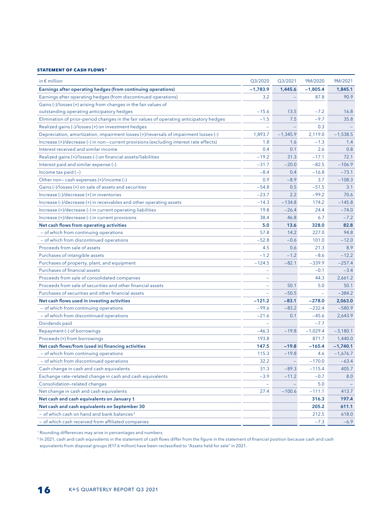#### **Statement of Cash flows 1**

| in $\epsilon$ million                                                                   | Q3/2020    | Q3/2021    | 9M/2020    | 9M/2021    |
|-----------------------------------------------------------------------------------------|------------|------------|------------|------------|
| Earnings after operating hedges (from continuing operations)                            | $-1,783.9$ | 1,445.6    | $-1,805.4$ | 1,845.1    |
| Earnings after operating hedges (from discontinued operations)                          | 3.2        |            | 87.8       | 90.9       |
| Gains (-)/losses (+) arising from changes in the fair values of                         |            |            |            |            |
| outstanding operating anticipatory hedges                                               | $-15.6$    | 13.5       | $-7.2$     | 16.8       |
| Elimination of prior-period changes in the fair values of operating anticipatory hedges | $-1.5$     | 7.5        | $-9.7$     | 35.8       |
| Realized gains (-)/losses (+) on investment hedges                                      | $\equiv$   |            | 0.3        |            |
| Depreciation, amortization, impairment losses (+)/reversals of impairment losses (-)    | 1,893.7    | $-1,345.9$ | 2,119.0    | $-1,538.5$ |
| Increase (+)/decrease (-) in non-current provisions (excluding interest rate effects)   | 1.8        | 1.6        | $-1.3$     | 1.4        |
| Interest received and similar income                                                    | 0.4        | 0.1        | 2.6        | 0.8        |
| Realized gains (+)/losses (-) on financial assets/liabilities                           | $-19.2$    | 31.3       | $-17.1$    | 72.1       |
| Interest paid and similar expense (-)                                                   | $-31.7$    | $-20.0$    | $-82.5$    | $-106.9$   |
| Income tax paid $(-)$                                                                   | $-8.4$     | 0.4        | $-16.8$    | $-73.1$    |
| Other non-cash expenses (+)/income (-)                                                  | 0.9        | $-8.9$     | 3.7        | $-108.3$   |
| Gains (-)/losses (+) on sale of assets and securities                                   | $-54.8$    | 0.5        | $-51.5$    | 3.1        |
| Increase (-)/decrease (+) in inventories                                                | $-23.7$    | 2.2        | $-99.2$    | 70.6       |
| Increase (-)/decrease (+) in receivables and other operating assets                     | $-14.3$    | $-134.8$   | 174.2      | $-145.8$   |
| Increase (+)/decrease (-) in current operating liabilities                              | 19.8       | $-26.4$    | 24.4       | $-74.0$    |
| Increase (+)/decrease (-) in current provisions                                         | 38.4       | 46.8       | 6.7        | $-7.2$     |
| Net cash flows from operating activities                                                | 5.0        | 13.6       | 328.0      | 82.8       |
| - of which from continuing operations                                                   | 57.8       | 14.2       | 227.0      | 94.8       |
| - of which from discontinued operations                                                 | $-52.8$    | $-0.6$     | 101.0      | $-12.0$    |
| Proceeds from sale of assets                                                            | 4.5        | 0.6        | 21.3       | 8.9        |
| Purchases of intangible assets                                                          | $-1.2$     | $-1.2$     | $-8.6$     | $-12.2$    |
| Purchases of property, plant, and equipment                                             | $-124.5$   | $-82.1$    | $-339.9$   | $-257.4$   |
| Purchases of financial assets                                                           |            |            | $-0.1$     | $-3.4$     |
| Proceeds from sale of consolidated companies                                            |            |            | 44.3       | 2,661.2    |
| Proceeds from sale of securities and other financial assets                             |            | 50.1       | 5.0        | 50.1       |
| Purchases of securities and other financial assets                                      | $\equiv$   | $-50.5$    | $\equiv$   | $-384.2$   |
| Net cash flows used in investing activities                                             | $-121.2$   | $-83.1$    | $-278.0$   | 2,063.0    |
| - of which from continuing operations                                                   | $-99.6$    | $-83.2$    | $-232.4$   | $-580.9$   |
| - of which from discontinued operations                                                 | $-21.6$    | 0.1        | $-45.6$    | 2,643.9    |
| Dividends paid                                                                          |            |            | $-7.7$     |            |
| Repayment (-) of borrowings                                                             | $-46.3$    | $-19.8$    | $-1,029.4$ | $-3,180.1$ |
| Proceeds (+) from borrowings                                                            | 193.8      |            | 871.7      | 1,440.0    |
| Net cash flows/from (used in) financing activities                                      | 147.5      | $-19.8$    | $-165.4$   | $-1,740.1$ |
| - of which from continuing operations                                                   | 115.3      | $-19.8$    | 4.6        | $-1,676.7$ |
| - of which from discontinued operations                                                 | 32.2       |            | $-170.0$   | $-63.4$    |
| Cash change in cash and cash equivalents                                                | 31.3       | $-89.3$    | 115.4      | 405.7      |
| Exchange rate-related change in cash and cash equivalents                               | $-3.9$     | $-11.2$    | $-0.7$     | 8.0        |
| Consolidation-related changes                                                           |            |            | 5.0        |            |
| Net change in cash and cash equivalents                                                 | 27.4       | $-100.6$   | $-111.1$   | 413.7      |
| Net cash and cash equivalents on January 1                                              |            |            | 316.3      | 197.4      |
| Net cash and cash equivalents on September 30                                           |            |            | 205.2      | 611.1      |
| - of which cash on hand and bank balances <sup>2</sup>                                  |            |            | 212.5      | 618.0      |
| - of which cash received from affiliated companies                                      |            |            | $-7.3$     | $-6.9$     |

1 Rounding differences may arise in percentages and numbers.

<sup>2</sup> In 2021, cash and cash equivalents in the statement of cash flows differ from the figure in the statement of financial position because cash and cash equivalents from disposal groups (€17.6 million) have been reclassified to "Assets held for sale" in 2021.